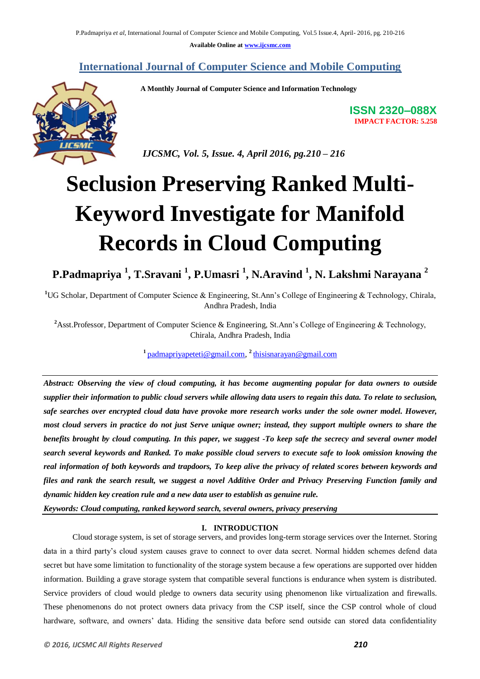**Available Online at [www.ijcsmc.com](http://www.ijcsmc.com/)**

# **International Journal of Computer Science and Mobile Computing**

 **A Monthly Journal of Computer Science and Information Technology**



**ISSN 2320–088X IMPACT FACTOR: 5.258**

 *IJCSMC, Vol. 5, Issue. 4, April 2016, pg.210 – 216*

# **Seclusion Preserving Ranked Multi-Keyword Investigate for Manifold Records in Cloud Computing**

**P.Padmapriya <sup>1</sup> , T.Sravani <sup>1</sup> , P.Umasri <sup>1</sup> , N.Aravind <sup>1</sup> , N. Lakshmi Narayana <sup>2</sup>**

**<sup>1</sup>**UG Scholar, Department of Computer Science & Engineering, St.Ann's College of Engineering & Technology, Chirala, Andhra Pradesh, India

<sup>2</sup>Asst.Professor, Department of Computer Science & Engineering, St.Ann's College of Engineering & Technology, Chirala, Andhra Pradesh, India

**1** [padmapriyapeteti@gmail.com,](mailto:padmapriyapeteti@gmail.com) **2** [thisisnarayan@gmail.com](mailto:thisisnarayan@gmail.com)

*Abstract: Observing the view of cloud computing, it has become augmenting popular for data owners to outside supplier their information to public cloud servers while allowing data users to regain this data. To relate to seclusion, safe searches over encrypted cloud data have provoke more research works under the sole owner model. However, most cloud servers in practice do not just Serve unique owner; instead, they support multiple owners to share the benefits brought by cloud computing. In this paper, we suggest -To keep safe the secrecy and several owner model search several keywords and Ranked. To make possible cloud servers to execute safe to look omission knowing the real information of both keywords and trapdoors, To keep alive the privacy of related scores between keywords and files and rank the search result, we suggest a novel Additive Order and Privacy Preserving Function family and dynamic hidden key creation rule and a new data user to establish as genuine rule.*

*Keywords: Cloud computing, ranked keyword search, several owners, privacy preserving*

# **I. INTRODUCTION**

Cloud storage system, is set of storage servers, and provides long-term storage services over the Internet. Storing data in a third party's cloud system causes grave to connect to over data secret. Normal hidden schemes defend data secret but have some limitation to functionality of the storage system because a few operations are supported over hidden information. Building a grave storage system that compatible several functions is endurance when system is distributed. Service providers of cloud would pledge to owners data security using phenomenon like virtualization and firewalls. These phenomenons do not protect owners data privacy from the CSP itself, since the CSP control whole of cloud hardware, software, and owners' data. Hiding the sensitive data before send outside can stored data confidentiality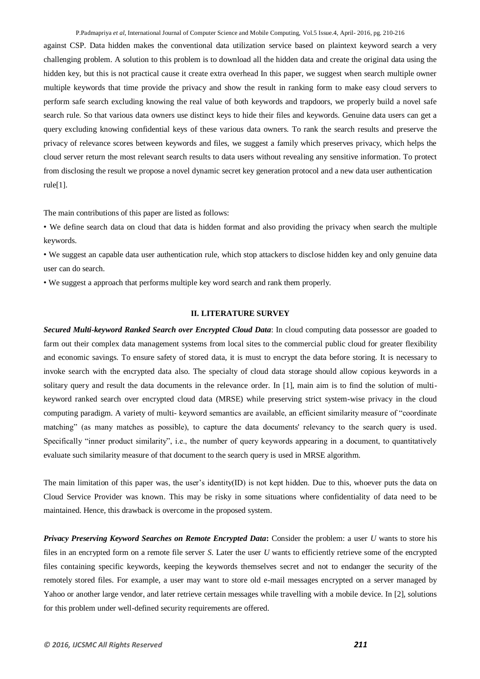against CSP. Data hidden makes the conventional data utilization service based on plaintext keyword search a very challenging problem. A solution to this problem is to download all the hidden data and create the original data using the hidden key, but this is not practical cause it create extra overhead In this paper, we suggest when search multiple owner multiple keywords that time provide the privacy and show the result in ranking form to make easy cloud servers to perform safe search excluding knowing the real value of both keywords and trapdoors, we properly build a novel safe search rule. So that various data owners use distinct keys to hide their files and keywords. Genuine data users can get a query excluding knowing confidential keys of these various data owners. To rank the search results and preserve the privacy of relevance scores between keywords and files, we suggest a family which preserves privacy, which helps the cloud server return the most relevant search results to data users without revealing any sensitive information. To protect from disclosing the result we propose a novel dynamic secret key generation protocol and a new data user authentication rule[1].

The main contributions of this paper are listed as follows:

*•* We define search data on cloud that data is hidden format and also providing the privacy when search the multiple keywords.

*•* We suggest an capable data user authentication rule, which stop attackers to disclose hidden key and only genuine data user can do search.

*•* We suggest a approach that performs multiple key word search and rank them properly.

# **II. LITERATURE SURVEY**

*Secured Multi-keyword Ranked Search over Encrypted Cloud Data*: In cloud computing data possessor are goaded to farm out their complex data management systems from local sites to the commercial public cloud for greater flexibility and economic savings. To ensure safety of stored data, it is must to encrypt the data before storing. It is necessary to invoke search with the encrypted data also. The specialty of cloud data storage should allow copious keywords in a solitary query and result the data documents in the relevance order. In [1], main aim is to find the solution of multikeyword ranked search over encrypted cloud data (MRSE) while preserving strict system-wise privacy in the cloud computing paradigm. A variety of multi- keyword semantics are available, an efficient similarity measure of "coordinate matching" (as many matches as possible), to capture the data documents' relevancy to the search query is used. Specifically "inner product similarity", i.e., the number of query keywords appearing in a document, to quantitatively evaluate such similarity measure of that document to the search query is used in MRSE algorithm.

The main limitation of this paper was, the user's identity(ID) is not kept hidden. Due to this, whoever puts the data on Cloud Service Provider was known. This may be risky in some situations where confidentiality of data need to be maintained. Hence, this drawback is overcome in the proposed system.

*Privacy Preserving Keyword Searches on Remote Encrypted Data***:** Consider the problem: a user *U* wants to store his files in an encrypted form on a remote file server *S*. Later the user *U* wants to efficiently retrieve some of the encrypted files containing specific keywords, keeping the keywords themselves secret and not to endanger the security of the remotely stored files. For example, a user may want to store old e-mail messages encrypted on a server managed by Yahoo or another large vendor, and later retrieve certain messages while travelling with a mobile device. In [2], solutions for this problem under well-defined security requirements are offered.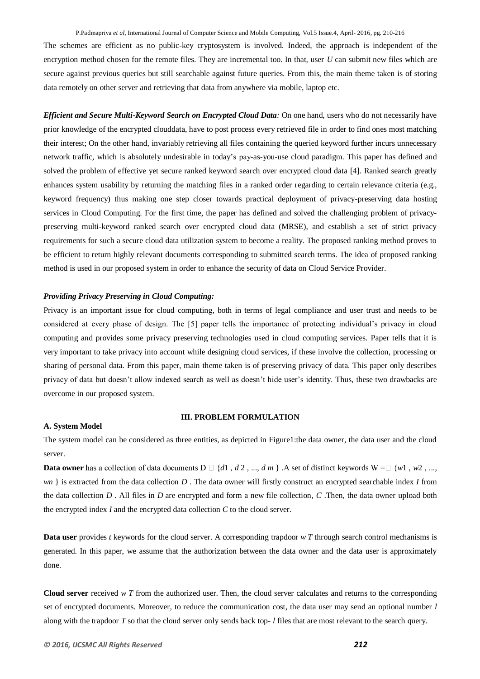The schemes are efficient as no public-key cryptosystem is involved. Indeed, the approach is independent of the encryption method chosen for the remote files. They are incremental too. In that, user *U* can submit new files which are secure against previous queries but still searchable against future queries. From this, the main theme taken is of storing data remotely on other server and retrieving that data from anywhere via mobile, laptop etc.

*Efficient and Secure Multi-Keyword Search on Encrypted Cloud Data:* On one hand, users who do not necessarily have prior knowledge of the encrypted clouddata, have to post process every retrieved file in order to find ones most matching their interest; On the other hand, invariably retrieving all files containing the queried keyword further incurs unnecessary network traffic, which is absolutely undesirable in today's pay-as-you-use cloud paradigm. This paper has defined and solved the problem of effective yet secure ranked keyword search over encrypted cloud data [4]. Ranked search greatly enhances system usability by returning the matching files in a ranked order regarding to certain relevance criteria (e.g., keyword frequency) thus making one step closer towards practical deployment of privacy-preserving data hosting services in Cloud Computing. For the first time, the paper has defined and solved the challenging problem of privacypreserving multi-keyword ranked search over encrypted cloud data (MRSE), and establish a set of strict privacy requirements for such a secure cloud data utilization system to become a reality. The proposed ranking method proves to be efficient to return highly relevant documents corresponding to submitted search terms. The idea of proposed ranking method is used in our proposed system in order to enhance the security of data on Cloud Service Provider.

# *Providing Privacy Preserving in Cloud Computing:*

Privacy is an important issue for cloud computing, both in terms of legal compliance and user trust and needs to be considered at every phase of design. The [5] paper tells the importance of protecting individual's privacy in cloud computing and provides some privacy preserving technologies used in cloud computing services. Paper tells that it is very important to take privacy into account while designing cloud services, if these involve the collection, processing or sharing of personal data. From this paper, main theme taken is of preserving privacy of data. This paper only describes privacy of data but doesn't allow indexed search as well as doesn't hide user's identity. Thus, these two drawbacks are overcome in our proposed system.

#### **A. System Model**

#### **III. PROBLEM FORMULATION**

The system model can be considered as three entities, as depicted in Figure1:the data owner, the data user and the cloud server.

**Data owner** has a collection of data documents  $D \square \{d1, d2, ..., dm\}$ . A set of distinct keywords  $W = \square \{w1, w2, ...,$ *wn* } is extracted from the data collection *D* . The data owner will firstly construct an encrypted searchable index *I* from the data collection *D* . All files in *D* are encrypted and form a new file collection, *C* .Then, the data owner upload both the encrypted index *I* and the encrypted data collection *C* to the cloud server.

**Data user** provides *t* keywords for the cloud server. A corresponding trapdoor *w* T through search control mechanisms is generated. In this paper, we assume that the authorization between the data owner and the data user is approximately done.

**Cloud server** received *w T* from the authorized user. Then, the cloud server calculates and returns to the corresponding set of encrypted documents. Moreover, to reduce the communication cost, the data user may send an optional number *l*  along with the trapdoor *T* so that the cloud server only sends back top- *l* files that are most relevant to the search query.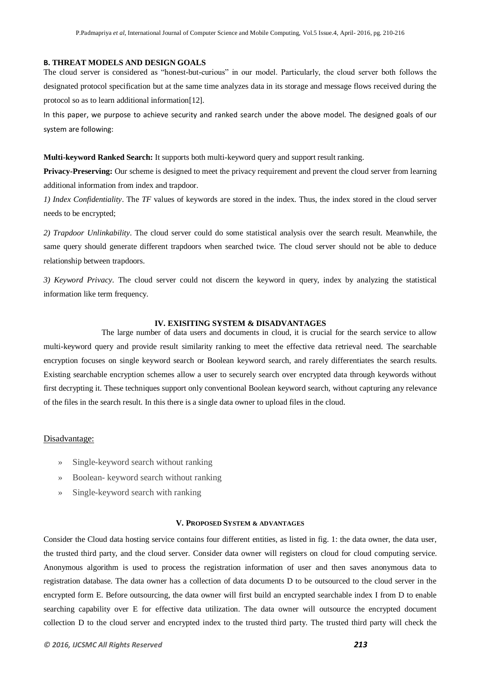#### **B. THREAT MODELS AND DESIGN GOALS**

The cloud server is considered as "honest-but-curious" in our model. Particularly, the cloud server both follows the designated protocol specification but at the same time analyzes data in its storage and message flows received during the protocol so as to learn additional information[12].

In this paper, we purpose to achieve security and ranked search under the above model. The designed goals of our system are following:

**Multi-keyword Ranked Search:** It supports both multi-keyword query and support result ranking.

Privacy-Preserving: Our scheme is designed to meet the privacy requirement and prevent the cloud server from learning additional information from index and trapdoor.

*1) Index Confidentiality*. The *TF* values of keywords are stored in the index. Thus, the index stored in the cloud server needs to be encrypted;

*2) Trapdoor Unlinkability*. The cloud server could do some statistical analysis over the search result. Meanwhile, the same query should generate different trapdoors when searched twice. The cloud server should not be able to deduce relationship between trapdoors.

*3) Keyword Privacy.* The cloud server could not discern the keyword in query, index by analyzing the statistical information like term frequency.

#### **IV. EXISITING SYSTEM & DISADVANTAGES**

The large number of data users and documents in cloud, it is crucial for the search service to allow multi-keyword query and provide result similarity ranking to meet the effective data retrieval need. The searchable encryption focuses on single keyword search or Boolean keyword search, and rarely differentiates the search results. Existing searchable encryption schemes allow a user to securely search over encrypted data through keywords without first decrypting it. These techniques support only conventional Boolean keyword search, without capturing any relevance of the files in the search result. In this there is a single data owner to upload files in the cloud.

#### Disadvantage:

- » Single-keyword search without ranking
- » Boolean- keyword search without ranking
- » Single-keyword search with ranking

# **V. PROPOSED SYSTEM & ADVANTAGES**

Consider the Cloud data hosting service contains four different entities, as listed in fig. 1: the data owner, the data user, the trusted third party, and the cloud server. Consider data owner will registers on cloud for cloud computing service. Anonymous algorithm is used to process the registration information of user and then saves anonymous data to registration database. The data owner has a collection of data documents D to be outsourced to the cloud server in the encrypted form E. Before outsourcing, the data owner will first build an encrypted searchable index I from D to enable searching capability over E for effective data utilization. The data owner will outsource the encrypted document collection D to the cloud server and encrypted index to the trusted third party. The trusted third party will check the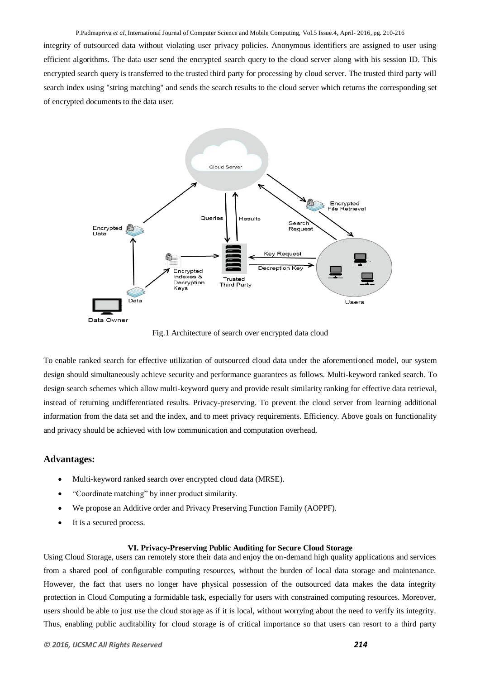integrity of outsourced data without violating user privacy policies. Anonymous identifiers are assigned to user using efficient algorithms. The data user send the encrypted search query to the cloud server along with his session ID. This encrypted search query is transferred to the trusted third party for processing by cloud server. The trusted third party will search index using "string matching" and sends the search results to the cloud server which returns the corresponding set of encrypted documents to the data user.



Fig.1 Architecture of search over encrypted data cloud

To enable ranked search for effective utilization of outsourced cloud data under the aforementioned model, our system design should simultaneously achieve security and performance guarantees as follows. Multi-keyword ranked search. To design search schemes which allow multi-keyword query and provide result similarity ranking for effective data retrieval, instead of returning undifferentiated results. Privacy-preserving. To prevent the cloud server from learning additional information from the data set and the index, and to meet privacy requirements. Efficiency. Above goals on functionality and privacy should be achieved with low communication and computation overhead.

#### **Advantages:**

- Multi-keyword ranked search over encrypted cloud data (MRSE).
- "Coordinate matching" by inner product similarity.
- We propose an Additive order and Privacy Preserving Function Family (AOPPF).
- It is a secured process.

#### **VI. Privacy-Preserving Public Auditing for Secure Cloud Storage**

Using Cloud Storage, users can remotely store their data and enjoy the on-demand high quality applications and services from a shared pool of configurable computing resources, without the burden of local data storage and maintenance. However, the fact that users no longer have physical possession of the outsourced data makes the data integrity protection in Cloud Computing a formidable task, especially for users with constrained computing resources. Moreover, users should be able to just use the cloud storage as if it is local, without worrying about the need to verify its integrity. Thus, enabling public auditability for cloud storage is of critical importance so that users can resort to a third party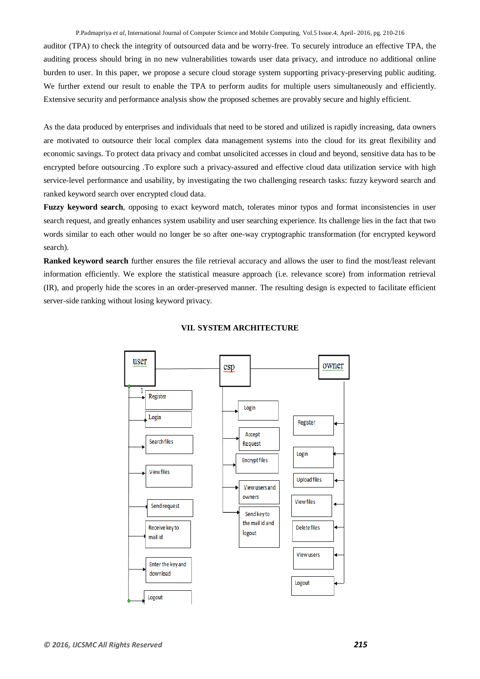auditor (TPA) to check the integrity of outsourced data and be worry-free. To securely introduce an effective TPA, the auditing process should bring in no new vulnerabilities towards user data privacy, and introduce no additional online burden to user. In this paper, we propose a secure cloud storage system supporting privacy-preserving public auditing. We further extend our result to enable the TPA to perform audits for multiple users simultaneously and efficiently. Extensive security and performance analysis show the proposed schemes are provably secure and highly efficient.

As the data produced by enterprises and individuals that need to be stored and utilized is rapidly increasing, data owners are motivated to outsource their local complex data management systems into the cloud for its great flexibility and economic savings. To protect data privacy and combat unsolicited accesses in cloud and beyond, sensitive data has to be encrypted before outsourcing .To explore such a privacy-assured and effective cloud data utilization service with high service-level performance and usability, by investigating the two challenging research tasks: fuzzy keyword search and ranked keyword search over encrypted cloud data.

**Fuzzy keyword search**, opposing to exact keyword match, tolerates minor typos and format inconsistencies in user search request, and greatly enhances system usability and user searching experience. Its challenge lies in the fact that two words similar to each other would no longer be so after one-way cryptographic transformation (for encrypted keyword search).

**Ranked keyword search** further ensures the file retrieval accuracy and allows the user to find the most/least relevant information efficiently. We explore the statistical measure approach (i.e. relevance score) from information retrieval (IR), and properly hide the scores in an order-preserved manner. The resulting design is expected to facilitate efficient server-side ranking without losing keyword privacy.



#### **VII. SYSTEM ARCHITECTURE**